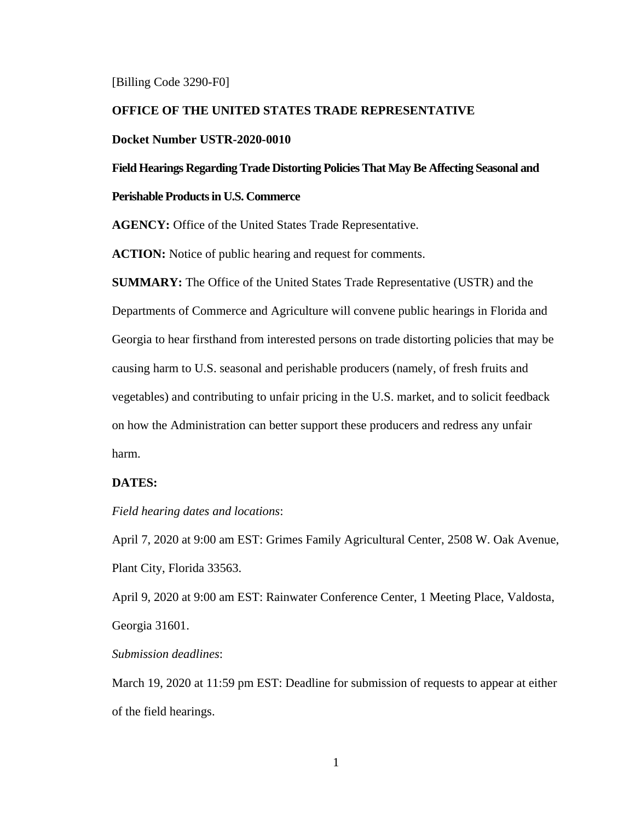#### [Billing Code 3290-F0]

## **OFFICE OF THE UNITED STATES TRADE REPRESENTATIVE**

## **Docket Number USTR-2020-0010**

**Field Hearings Regarding Trade Distorting Policies That May Be Affecting Seasonal and** 

# **Perishable Products in U.S. Commerce**

**AGENCY:** Office of the United States Trade Representative.

**ACTION:** Notice of public hearing and request for comments.

**SUMMARY:** The Office of the United States Trade Representative (USTR) and the Departments of Commerce and Agriculture will convene public hearings in Florida and Georgia to hear firsthand from interested persons on trade distorting policies that may be causing harm to U.S. seasonal and perishable producers (namely, of fresh fruits and vegetables) and contributing to unfair pricing in the U.S. market, and to solicit feedback on how the Administration can better support these producers and redress any unfair harm.

# **DATES:**

*Field hearing dates and locations*:

April 7, 2020 at 9:00 am EST: Grimes Family Agricultural Center, 2508 W. Oak Avenue, Plant City, Florida 33563.

April 9, 2020 at 9:00 am EST: Rainwater Conference Center, 1 Meeting Place, Valdosta, Georgia 31601.

*Submission deadlines*:

March 19, 2020 at 11:59 pm EST: Deadline for submission of requests to appear at either of the field hearings.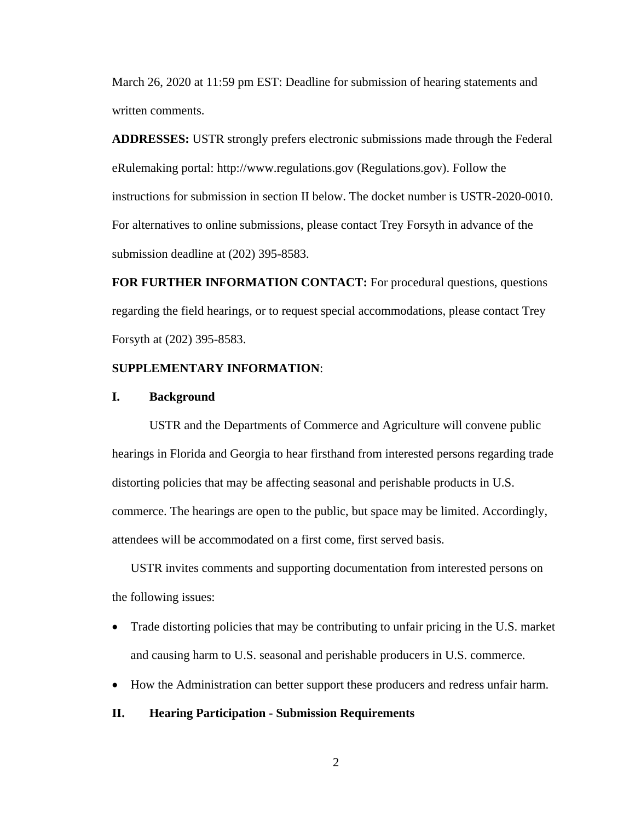March 26, 2020 at 11:59 pm EST: Deadline for submission of hearing statements and written comments.

**ADDRESSES:** USTR strongly prefers electronic submissions made through the Federal eRulemaking portal: http://www.regulations.gov (Regulations.gov). Follow the instructions for submission in section II below. The docket number is USTR-2020-0010. For alternatives to online submissions, please contact Trey Forsyth in advance of the submission deadline at (202) 395-8583.

**FOR FURTHER INFORMATION CONTACT:** For procedural questions, questions regarding the field hearings, or to request special accommodations, please contact Trey Forsyth at (202) 395-8583.

# **SUPPLEMENTARY INFORMATION**:

## **I. Background**

USTR and the Departments of Commerce and Agriculture will convene public hearings in Florida and Georgia to hear firsthand from interested persons regarding trade distorting policies that may be affecting seasonal and perishable products in U.S. commerce. The hearings are open to the public, but space may be limited. Accordingly, attendees will be accommodated on a first come, first served basis.

USTR invites comments and supporting documentation from interested persons on the following issues:

- Trade distorting policies that may be contributing to unfair pricing in the U.S. market and causing harm to U.S. seasonal and perishable producers in U.S. commerce.
- How the Administration can better support these producers and redress unfair harm.
- **II. Hearing Participation - Submission Requirements**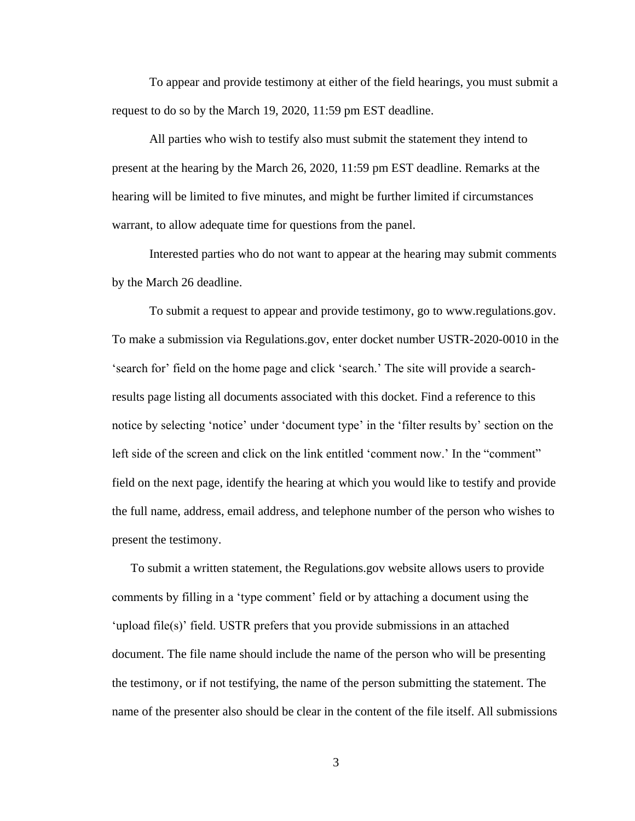To appear and provide testimony at either of the field hearings, you must submit a request to do so by the March 19, 2020, 11:59 pm EST deadline.

All parties who wish to testify also must submit the statement they intend to present at the hearing by the March 26, 2020, 11:59 pm EST deadline. Remarks at the hearing will be limited to five minutes, and might be further limited if circumstances warrant, to allow adequate time for questions from the panel.

Interested parties who do not want to appear at the hearing may submit comments by the March 26 deadline.

To submit a request to appear and provide testimony, go to www.regulations.gov. To make a submission via Regulations.gov, enter docket number USTR-2020-0010 in the 'search for' field on the home page and click 'search.' The site will provide a searchresults page listing all documents associated with this docket. Find a reference to this notice by selecting 'notice' under 'document type' in the 'filter results by' section on the left side of the screen and click on the link entitled 'comment now.' In the "comment" field on the next page, identify the hearing at which you would like to testify and provide the full name, address, email address, and telephone number of the person who wishes to present the testimony.

To submit a written statement, the Regulations.gov website allows users to provide comments by filling in a 'type comment' field or by attaching a document using the 'upload file(s)' field. USTR prefers that you provide submissions in an attached document. The file name should include the name of the person who will be presenting the testimony, or if not testifying, the name of the person submitting the statement. The name of the presenter also should be clear in the content of the file itself. All submissions

3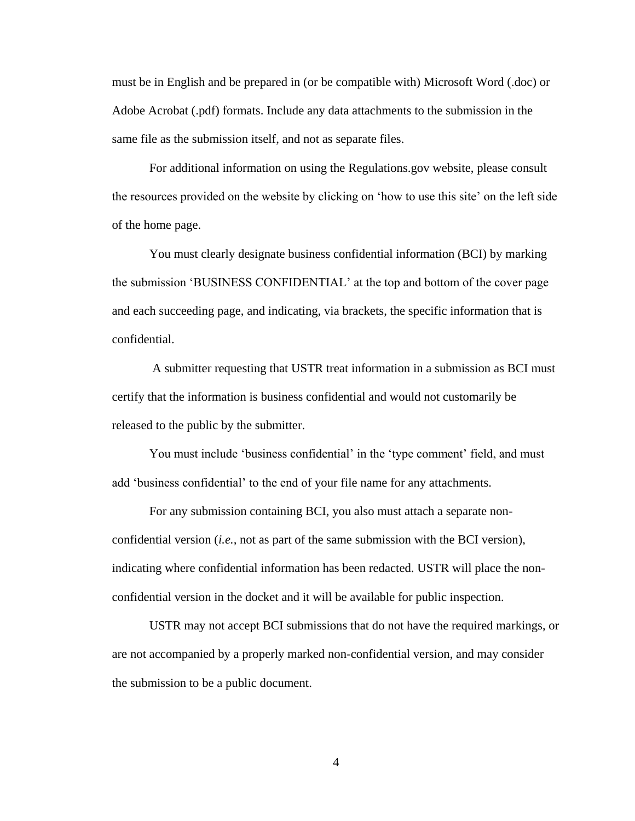must be in English and be prepared in (or be compatible with) Microsoft Word (.doc) or Adobe Acrobat (.pdf) formats. Include any data attachments to the submission in the same file as the submission itself, and not as separate files.

For additional information on using the Regulations.gov website, please consult the resources provided on the website by clicking on 'how to use this site' on the left side of the home page.

You must clearly designate business confidential information (BCI) by marking the submission 'BUSINESS CONFIDENTIAL' at the top and bottom of the cover page and each succeeding page, and indicating, via brackets, the specific information that is confidential.

A submitter requesting that USTR treat information in a submission as BCI must certify that the information is business confidential and would not customarily be released to the public by the submitter.

You must include 'business confidential' in the 'type comment' field, and must add 'business confidential' to the end of your file name for any attachments.

For any submission containing BCI, you also must attach a separate nonconfidential version (*i.e.,* not as part of the same submission with the BCI version), indicating where confidential information has been redacted. USTR will place the nonconfidential version in the docket and it will be available for public inspection.

USTR may not accept BCI submissions that do not have the required markings, or are not accompanied by a properly marked non-confidential version, and may consider the submission to be a public document.

4